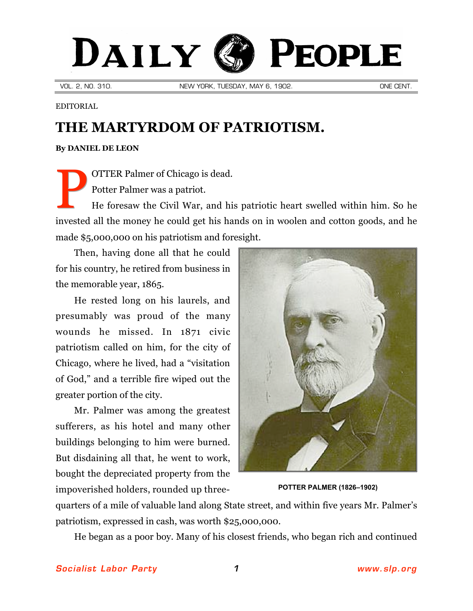## DAILY PEOPLE

VOL. 2, NO. 310. NEW YORK, TUESDAY, MAY 6, 1902. ONE CENT.

EDITORIAL

## **THE MARTYRDOM OF PATRIOTISM.**

## **By [DANIEL DE LEON](http://slp.org/De_Leon.htm)**

OTTER Palmer of Chicago is dead. Potter Palmer was a patriot. P

He foresaw the Civil War, and his patriotic heart swelled within him. So he invested all the money he could get his hands on in woolen and cotton goods, and he made \$5,000,000 on his patriotism and foresight.

Then, having done all that he could for his country, he retired from business in the memorable year, 1865.

He rested long on his laurels, and presumably was proud of the many wounds he missed. In 1871 civic patriotism called on him, for the city of Chicago, where he lived, had a "visitation of God," and a terrible fire wiped out the greater portion of the city.

Mr. Palmer was among the greatest sufferers, as his hotel and many other buildings belonging to him were burned. But disdaining all that, he went to work, bought the depreciated property from the impoverished holders, rounded up three- **POTTER PALMER (1826–1902)**



quarters of a mile of valuable land along State street, and within five years Mr. Palmer's patriotism, expressed in cash, was worth \$25,000,000.

He began as a poor boy. Many of his closest friends, who began rich and continued